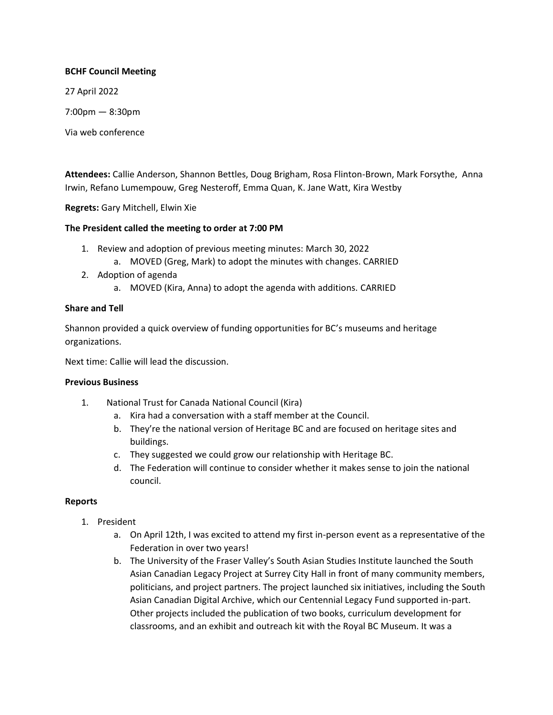## **BCHF Council Meeting**

27 April 2022

7:00pm — 8:30pm

Via web conference

**Attendees:** Callie Anderson, Shannon Bettles, Doug Brigham, Rosa Flinton-Brown, Mark Forsythe, Anna Irwin, Refano Lumempouw, Greg Nesteroff, Emma Quan, K. Jane Watt, Kira Westby

**Regrets:** Gary Mitchell, Elwin Xie

# **The President called the meeting to order at 7:00 PM**

- 1. Review and adoption of previous meeting minutes: March 30, 2022
	- a. MOVED (Greg, Mark) to adopt the minutes with changes. CARRIED
- 2. Adoption of agenda
	- a. MOVED (Kira, Anna) to adopt the agenda with additions. CARRIED

# **Share and Tell**

Shannon provided a quick overview of funding opportunities for BC's museums and heritage organizations.

Next time: Callie will lead the discussion.

## **Previous Business**

- 1. National Trust for Canada National Council (Kira)
	- a. Kira had a conversation with a staff member at the Council.
	- b. They're the national version of Heritage BC and are focused on heritage sites and buildings.
	- c. They suggested we could grow our relationship with Heritage BC.
	- d. The Federation will continue to consider whether it makes sense to join the national council.

## **Reports**

- 1. President
	- a. On April 12th, I was excited to attend my first in-person event as a representative of the Federation in over two years!
	- b. The University of the Fraser Valley's South Asian Studies Institute launched the South Asian Canadian Legacy Project at Surrey City Hall in front of many community members, politicians, and project partners. The project launched six initiatives, including the South Asian Canadian Digital Archive, which our Centennial Legacy Fund supported in-part. Other projects included the publication of two books, curriculum development for classrooms, and an exhibit and outreach kit with the Royal BC Museum. It was a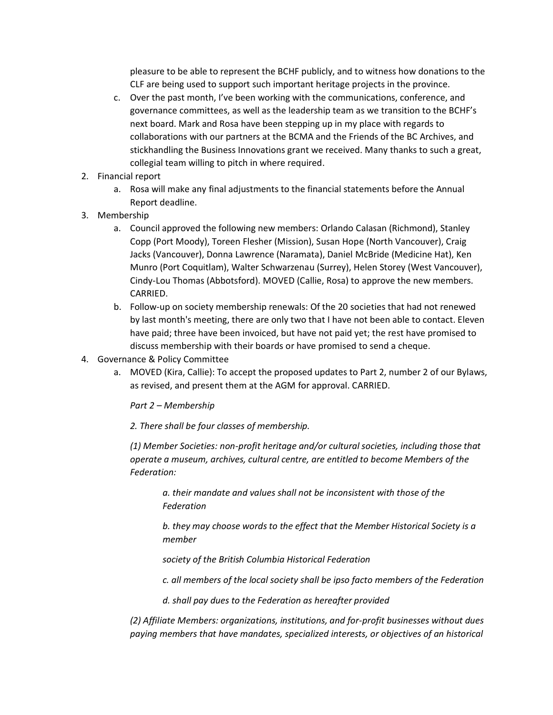pleasure to be able to represent the BCHF publicly, and to witness how donations to the CLF are being used to support such important heritage projects in the province.

- c. Over the past month, I've been working with the communications, conference, and governance committees, as well as the leadership team as we transition to the BCHF's next board. Mark and Rosa have been stepping up in my place with regards to collaborations with our partners at the BCMA and the Friends of the BC Archives, and stickhandling the Business Innovations grant we received. Many thanks to such a great, collegial team willing to pitch in where required.
- 2. Financial report
	- a. Rosa will make any final adjustments to the financial statements before the Annual Report deadline.
- 3. Membership
	- a. Council approved the following new members: Orlando Calasan (Richmond), Stanley Copp (Port Moody), Toreen Flesher (Mission), Susan Hope (North Vancouver), Craig Jacks (Vancouver), Donna Lawrence (Naramata), Daniel McBride (Medicine Hat), Ken Munro (Port Coquitlam), Walter Schwarzenau (Surrey), Helen Storey (West Vancouver), Cindy-Lou Thomas (Abbotsford). MOVED (Callie, Rosa) to approve the new members. CARRIED.
	- b. Follow-up on society membership renewals: Of the 20 societies that had not renewed by last month's meeting, there are only two that I have not been able to contact. Eleven have paid; three have been invoiced, but have not paid yet; the rest have promised to discuss membership with their boards or have promised to send a cheque.
- 4. Governance & Policy Committee
	- a. MOVED (Kira, Callie): To accept the proposed updates to Part 2, number 2 of our Bylaws, as revised, and present them at the AGM for approval. CARRIED.

*Part 2 – Membership* 

*2. There shall be four classes of membership.*

*(1) Member Societies: non-profit heritage and/or cultural societies, including those that operate a museum, archives, cultural centre, are entitled to become Members of the Federation:*

*a. their mandate and values shall not be inconsistent with those of the Federation*

*b. they may choose words to the effect that the Member Historical Society is a member*

*society of the British Columbia Historical Federation*

*c. all members of the local society shall be ipso facto members of the Federation*

*d. shall pay dues to the Federation as hereafter provided*

*(2) Affiliate Members: organizations, institutions, and for-profit businesses without dues paying members that have mandates, specialized interests, or objectives of an historical*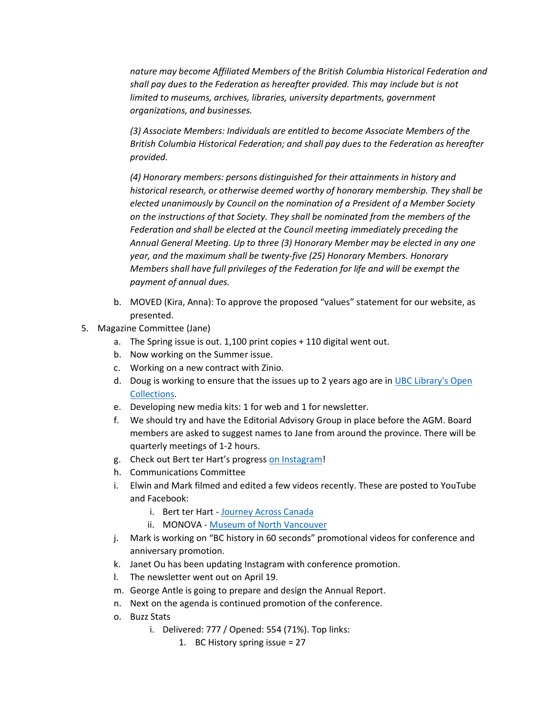*nature may become Affiliated Members of the British Columbia Historical Federation and shall pay dues to the Federation as hereafter provided. This may include but is not limited to museums, archives, libraries, university departments, government organizations, and businesses.*

*(3) Associate Members: Individuals are entitled to become Associate Members of the British Columbia Historical Federation; and shall pay dues to the Federation as hereafter provided.*

*(4) Honorary members: persons distinguished for their attainments in history and historical research, or otherwise deemed worthy of honorary membership. They shall be elected unanimously by Council on the nomination of a President of a Member Society on the instructions of that Society. They shall be nominated from the members of the Federation and shall be elected at the Council meeting immediately preceding the Annual General Meeting. Up to three (3) Honorary Member may be elected in any one year, and the maximum shall be twenty-five (25) Honorary Members. Honorary Members shall have full privileges of the Federation for life and will be exempt the payment of annual dues.*

- b. MOVED (Kira, Anna): To approve the proposed "values" statement for our website, as presented.
- 5. Magazine Committee (Jane)
	- a. The Spring issue is out. 1,100 print copies + 110 digital went out.
	- b. Now working on the Summer issue.
	- c. Working on a new contract with Zinio.
	- d. Doug is working to ensure that the issues up to 2 years ago are in UBC Library's Open [Collections.](https://open.library.ubc.ca/collections/bch)
	- e. Developing new media kits: 1 for web and 1 for newsletter.
	- f. We should try and have the Editorial Advisory Group in place before the AGM. Board members are asked to suggest names to Jane from around the province. There will be quarterly meetings of 1-2 hours.
	- g. Check out Bert ter Hart's progress [on Instagram!](https://www.instagram.com/kainani.acrossalone/)
	- h. Communications Committee
	- i. Elwin and Mark filmed and edited a few videos recently. These are posted to YouTube and Facebook:
		- i. Bert ter Hart [Journey Across Canada](https://youtu.be/uDkJWDBZDXY)
		- ii. MONOVA [Museum of North Vancouver](https://youtu.be/lyB9YH6CbU0)
	- j. Mark is working on "BC history in 60 seconds" promotional videos for conference and anniversary promotion.
	- k. Janet Ou has been updating Instagram with conference promotion.
	- l. The newsletter went out on April 19.
	- m. George Antle is going to prepare and design the Annual Report.
	- n. Next on the agenda is continued promotion of the conference.
	- o. Buzz Stats
		- i. Delivered: 777 / Opened: 554 (71%). Top links:
			- 1. BC History spring issue = 27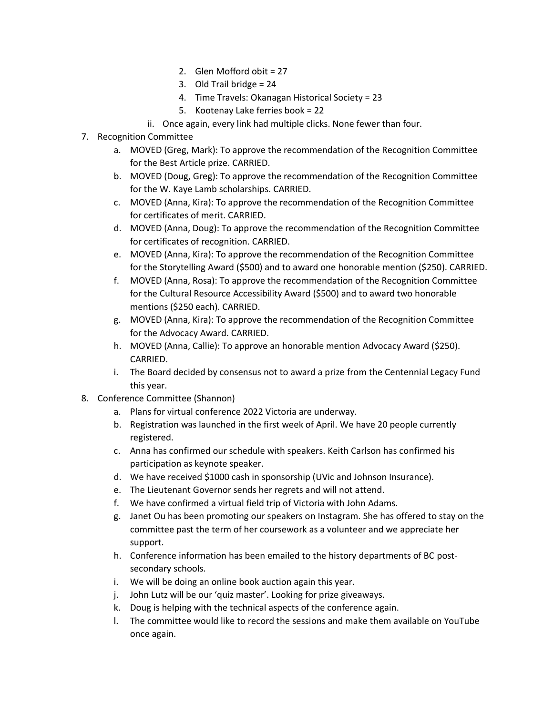- 2. Glen Mofford obit = 27
- 3. Old Trail bridge = 24
- 4. Time Travels: Okanagan Historical Society = 23
- 5. Kootenay Lake ferries book = 22
- ii. Once again, every link had multiple clicks. None fewer than four.
- 7. Recognition Committee
	- a. MOVED (Greg, Mark): To approve the recommendation of the Recognition Committee for the Best Article prize. CARRIED.
	- b. MOVED (Doug, Greg): To approve the recommendation of the Recognition Committee for the W. Kaye Lamb scholarships. CARRIED.
	- c. MOVED (Anna, Kira): To approve the recommendation of the Recognition Committee for certificates of merit. CARRIED.
	- d. MOVED (Anna, Doug): To approve the recommendation of the Recognition Committee for certificates of recognition. CARRIED.
	- e. MOVED (Anna, Kira): To approve the recommendation of the Recognition Committee for the Storytelling Award (\$500) and to award one honorable mention (\$250). CARRIED.
	- f. MOVED (Anna, Rosa): To approve the recommendation of the Recognition Committee for the Cultural Resource Accessibility Award (\$500) and to award two honorable mentions (\$250 each). CARRIED.
	- g. MOVED (Anna, Kira): To approve the recommendation of the Recognition Committee for the Advocacy Award. CARRIED.
	- h. MOVED (Anna, Callie): To approve an honorable mention Advocacy Award (\$250). CARRIED.
	- i. The Board decided by consensus not to award a prize from the Centennial Legacy Fund this year.
- 8. Conference Committee (Shannon)
	- a. Plans for virtual conference 2022 Victoria are underway.
	- b. Registration was launched in the first week of April. We have 20 people currently registered.
	- c. Anna has confirmed our schedule with speakers. Keith Carlson has confirmed his participation as keynote speaker.
	- d. We have received \$1000 cash in sponsorship (UVic and Johnson Insurance).
	- e. The Lieutenant Governor sends her regrets and will not attend.
	- f. We have confirmed a virtual field trip of Victoria with John Adams.
	- g. Janet Ou has been promoting our speakers on Instagram. She has offered to stay on the committee past the term of her coursework as a volunteer and we appreciate her support.
	- h. Conference information has been emailed to the history departments of BC postsecondary schools.
	- i. We will be doing an online book auction again this year.
	- j. John Lutz will be our 'quiz master'. Looking for prize giveaways.
	- k. Doug is helping with the technical aspects of the conference again.
	- l. The committee would like to record the sessions and make them available on YouTube once again.